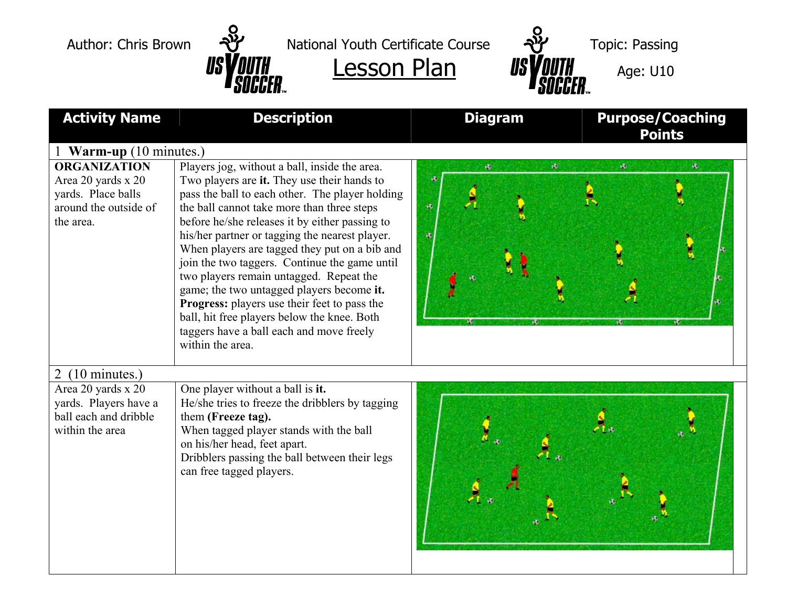

Author: Chris Brown  $\frac{1}{2}$  National Youth Certificate Course  $\frac{1}{2}$  Topic: Passing





| <b>Activity Name</b>                                                                                  | <b>Description</b>                                                                                                                                                                                                                                                                                                                                                                                                                                                                                                                                                                                                                                         | <b>Purpose/Coaching</b><br><b>Diagram</b><br><b>Points</b> |    |    |  |
|-------------------------------------------------------------------------------------------------------|------------------------------------------------------------------------------------------------------------------------------------------------------------------------------------------------------------------------------------------------------------------------------------------------------------------------------------------------------------------------------------------------------------------------------------------------------------------------------------------------------------------------------------------------------------------------------------------------------------------------------------------------------------|------------------------------------------------------------|----|----|--|
| 1 Warm-up (10 minutes.)                                                                               |                                                                                                                                                                                                                                                                                                                                                                                                                                                                                                                                                                                                                                                            |                                                            |    |    |  |
| <b>ORGANIZATION</b><br>Area 20 yards x 20<br>yards. Place balls<br>around the outside of<br>the area. | Players jog, without a ball, inside the area.<br>Two players are it. They use their hands to<br>pass the ball to each other. The player holding<br>the ball cannot take more than three steps<br>before he/she releases it by either passing to<br>his/her partner or tagging the nearest player.<br>When players are tagged they put on a bib and<br>join the two taggers. Continue the game until<br>two players remain untagged. Repeat the<br>game; the two untagged players become it.<br>Progress: players use their feet to pass the<br>ball, hit free players below the knee. Both<br>taggers have a ball each and move freely<br>within the area. | a.<br>爆<br>遇                                               | a. | ø. |  |
| $2(10 \text{ minutes.})$                                                                              |                                                                                                                                                                                                                                                                                                                                                                                                                                                                                                                                                                                                                                                            |                                                            |    |    |  |
| Area 20 yards x 20<br>yards. Players have a<br>ball each and dribble<br>within the area               | One player without a ball is it.<br>He/she tries to freeze the dribblers by tagging<br>them (Freeze tag).<br>When tagged player stands with the ball<br>on his/her head, feet apart.<br>Dribblers passing the ball between their legs<br>can free tagged players.                                                                                                                                                                                                                                                                                                                                                                                          |                                                            |    |    |  |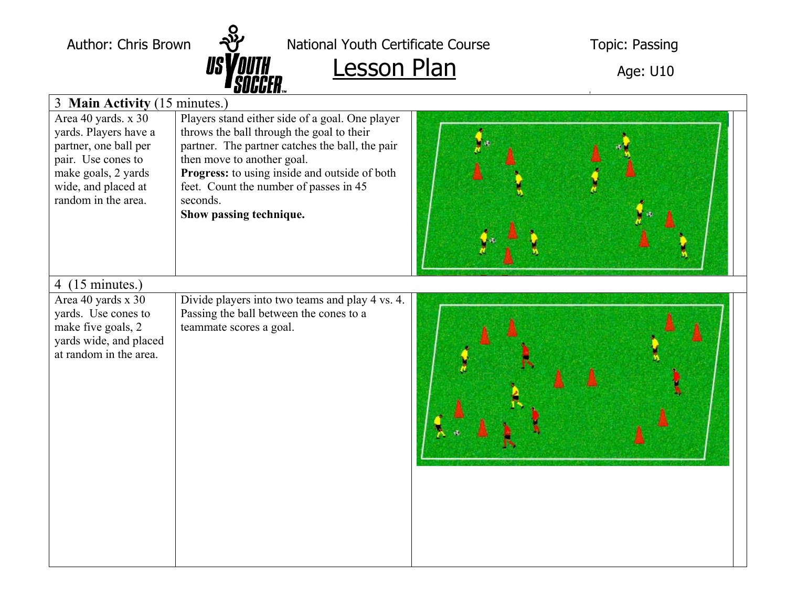

Author: Chris Brown  $\frac{1}{2}$  National Youth Certificate Course Topic: Passing

## $\frac{1}{s}$   $\frac{1}{s}$   $\frac{1}{s}$   $\frac{1}{s}$   $\frac{1}{s}$   $\frac{1}{s}$   $\frac{1}{s}$   $\frac{1}{s}$   $\frac{1}{s}$   $\frac{1}{s}$   $\frac{1}{s}$   $\frac{1}{s}$   $\frac{1}{s}$   $\frac{1}{s}$   $\frac{1}{s}$   $\frac{1}{s}$   $\frac{1}{s}$   $\frac{1}{s}$   $\frac{1}{s}$   $\frac{1}{s}$   $\frac{1}{s}$   $\frac{1}{s}$

| 3 Main Activity (15 minutes.)                                                                                                                                    |                                                                                                                                                                                                                                                                                                                 |  |  |  |  |
|------------------------------------------------------------------------------------------------------------------------------------------------------------------|-----------------------------------------------------------------------------------------------------------------------------------------------------------------------------------------------------------------------------------------------------------------------------------------------------------------|--|--|--|--|
| Area 40 yards. x 30<br>yards. Players have a<br>partner, one ball per<br>pair. Use cones to<br>make goals, 2 yards<br>wide, and placed at<br>random in the area. | Players stand either side of a goal. One player<br>throws the ball through the goal to their<br>partner. The partner catches the ball, the pair<br>then move to another goal.<br>Progress: to using inside and outside of both<br>feet. Count the number of passes in 45<br>seconds.<br>Show passing technique. |  |  |  |  |
| 4 $(15 \text{ minutes.})$<br>Area 40 yards x 30<br>yards. Use cones to<br>make five goals, 2<br>yards wide, and placed<br>at random in the area.                 | Divide players into two teams and play 4 vs. 4.<br>Passing the ball between the cones to a<br>teammate scores a goal.                                                                                                                                                                                           |  |  |  |  |